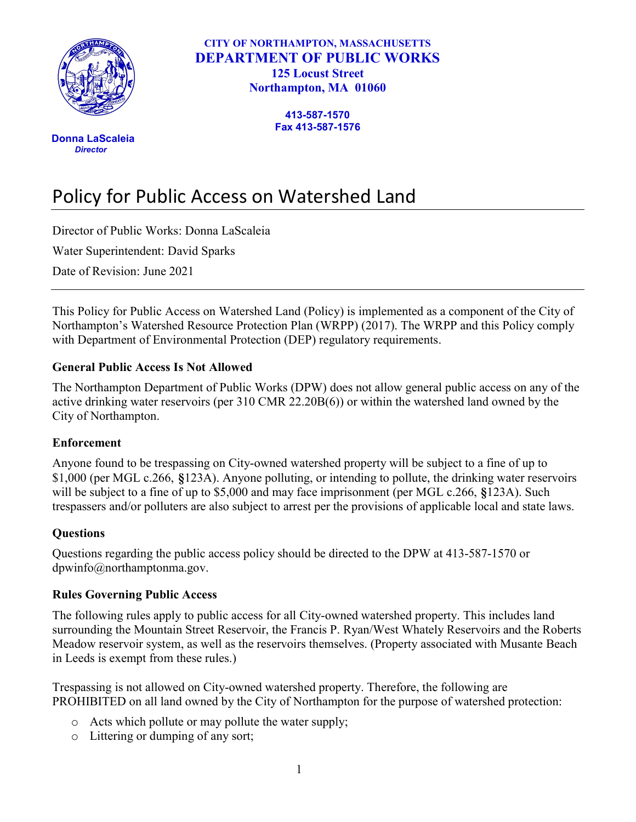

 Donna LaScaleia **Director** 

CITY OF NORTHAMPTON, MASSACHUSETTS DEPARTMENT OF PUBLIC WORKS 125 Locust Street Northampton, MA 01060

> 413-587-1570 Fax 413-587-1576

# Policy for Public Access on Watershed Land

Director of Public Works: Donna LaScaleia

Water Superintendent: David Sparks

Date of Revision: June 2021

This Policy for Public Access on Watershed Land (Policy) is implemented as a component of the City of Northampton's Watershed Resource Protection Plan (WRPP) (2017). The WRPP and this Policy comply with Department of Environmental Protection (DEP) regulatory requirements.

### General Public Access Is Not Allowed

The Northampton Department of Public Works (DPW) does not allow general public access on any of the active drinking water reservoirs (per 310 CMR 22.20B(6)) or within the watershed land owned by the City of Northampton.

#### Enforcement

Anyone found to be trespassing on City-owned watershed property will be subject to a fine of up to \$1,000 (per MGL c.266, §123A). Anyone polluting, or intending to pollute, the drinking water reservoirs will be subject to a fine of up to \$5,000 and may face imprisonment (per MGL c.266, §123A). Such trespassers and/or polluters are also subject to arrest per the provisions of applicable local and state laws.

#### **Ouestions**

Questions regarding the public access policy should be directed to the DPW at 413-587-1570 or dpwinfo@northamptonma.gov.

#### Rules Governing Public Access

The following rules apply to public access for all City-owned watershed property. This includes land surrounding the Mountain Street Reservoir, the Francis P. Ryan/West Whately Reservoirs and the Roberts Meadow reservoir system, as well as the reservoirs themselves. (Property associated with Musante Beach in Leeds is exempt from these rules.)

Trespassing is not allowed on City-owned watershed property. Therefore, the following are PROHIBITED on all land owned by the City of Northampton for the purpose of watershed protection:

- o Acts which pollute or may pollute the water supply;
- o Littering or dumping of any sort;